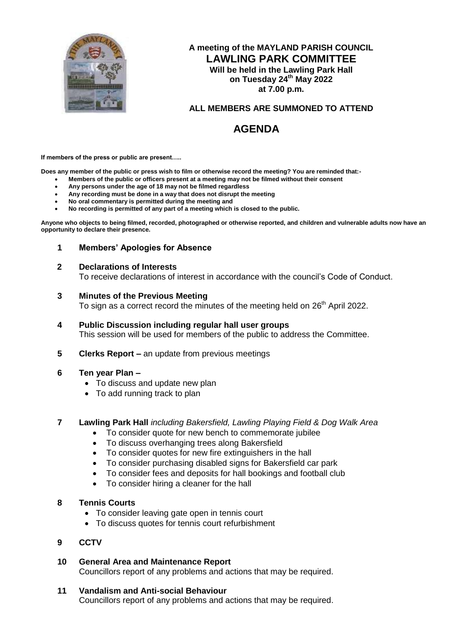

# **A meeting of the MAYLAND PARISH COUNCIL LAWLING PARK COMMITTEE Will be held in the Lawling Park Hall on Tuesday 24 th May 2022 at 7.00 p.m.**

# **ALL MEMBERS ARE SUMMONED TO ATTEND**

# **AGENDA**

**If members of the press or public are present…..**

**Does any member of the public or press wish to film or otherwise record the meeting? You are reminded that:-**

- **Members of the public or officers present at a meeting may not be filmed without their consent**
- **Any persons under the age of 18 may not be filmed regardless**
- **Any recording must be done in a way that does not disrupt the meeting**
- **No oral commentary is permitted during the meeting and**
- **No recording is permitted of any part of a meeting which is closed to the public.**

**Anyone who objects to being filmed, recorded, photographed or otherwise reported, and children and vulnerable adults now have an opportunity to declare their presence.**

**1 Members' Apologies for Absence**

#### **2 Declarations of Interests**

To receive declarations of interest in accordance with the council's Code of Conduct.

#### **3 Minutes of the Previous Meeting**

To sign as a correct record the minutes of the meeting held on 26<sup>th</sup> April 2022.

- **4 Public Discussion including regular hall user groups** This session will be used for members of the public to address the Committee.
- **5 Clerks Report –** an update from previous meetings

## **6 Ten year Plan –**

- To discuss and update new plan
- To add running track to plan

## **7 Lawling Park Hall** *including Bakersfield, Lawling Playing Field & Dog Walk Area*

- To consider quote for new bench to commemorate jubilee
- To discuss overhanging trees along Bakersfield
- To consider quotes for new fire extinguishers in the hall
- To consider purchasing disabled signs for Bakersfield car park
- To consider fees and deposits for hall bookings and football club
- To consider hiring a cleaner for the hall

## **8 Tennis Courts**

- To consider leaving gate open in tennis court
- To discuss quotes for tennis court refurbishment

## **9 CCTV**

- **10 General Area and Maintenance Report** Councillors report of any problems and actions that may be required.
- **11 Vandalism and Anti-social Behaviour**

Councillors report of any problems and actions that may be required.